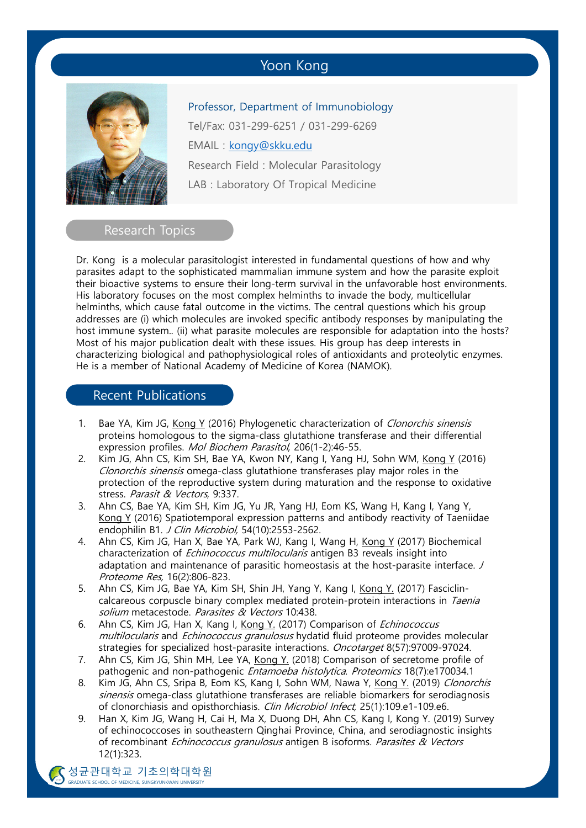# Yoon Kong



Professor, Department of Immunobiology Tel/Fax: 031-299-6251 / 031-299-6269 EMAIL : kongy@skku.edu Research Field : Molecular Parasitology LAB : Laboratory Of Tropical Medicine

#### Research Topics

Dr. Kong is a molecular parasitologist interested in fundamental questions of how and why parasites adapt to the sophisticated mammalian immune system and how the parasite exploit their bioactive systems to ensure their long-term survival in the unfavorable host environments. His laboratory focuses on the most complex helminths to invade the body, multicellular helminths, which cause fatal outcome in the victims. The central questions which his group addresses are (i) which molecules are invoked specific antibody responses by manipulating the host immune system.. (ii) what parasite molecules are responsible for adaptation into the hosts? Most of his major publication dealt with these issues. His group has deep interests in characterizing biological and pathophysiological roles of antioxidants and proteolytic enzymes. He is a member of National Academy of Medicine of Korea (NAMOK).

### Recent Publications

- 1. Bae YA, Kim JG, Kong Y (2016) Phylogenetic characterization of *Clonorchis sinensis* proteins homologous to the sigma-class glutathione transferase and their differential expression profiles. Mol Biochem Parasitol, 206(1-2):46-55.
- 2. Kim JG, Ahn CS, Kim SH, Bae YA, Kwon NY, Kang I, Yang HJ, Sohn WM, Kong Y (2016) Clonorchis sinensis omega-class glutathione transferases play major roles in the protection of the reproductive system during maturation and the response to oxidative stress. Parasit & Vectors, 9:337.
- 3. Ahn CS, Bae YA, Kim SH, Kim JG, Yu JR, Yang HJ, Eom KS, Wang H, Kang I, Yang Y, Kong Y (2016) Spatiotemporal expression patterns and antibody reactivity of Taeniidae endophilin B1. J Clin Microbiol, 54(10):2553-2562.
- 4. Ahn CS, Kim JG, Han X, Bae YA, Park WJ, Kang I, Wang H, Kong Y (2017) Biochemical characterization of *Echinococcus multilocularis* antigen B3 reveals insight into adaptation and maintenance of parasitic homeostasis at the host-parasite interface. J Proteome Res, 16(2):806-823.
- 5. Ahn CS, Kim JG, Bae YA, Kim SH, Shin JH, Yang Y, Kang I, Kong Y. (2017) Fasciclincalcareous corpuscle binary complex mediated protein-protein interactions in Taenia solium metacestode. Parasites & Vectors 10:438.
- 6. Ahn CS, Kim JG, Han X, Kang I, Kong Y. (2017) Comparison of *Echinococcus* multilocularis and Echinococcus granulosus hydatid fluid proteome provides molecular strategies for specialized host-parasite interactions. Oncotarget 8(57):97009-97024.
- 7. Ahn CS, Kim JG, Shin MH, Lee YA, Kong Y. (2018) Comparison of secretome profile of pathogenic and non-pathogenic *Entamoeba histolytica. Proteomics* 18(7):e170034.1
- 8. Kim JG, Ahn CS, Sripa B, Eom KS, Kang I, Sohn WM, Nawa Y, Kong Y. (2019) Clonorchis sinensis omega-class glutathione transferases are reliable biomarkers for serodiagnosis of clonorchiasis and opisthorchiasis. Clin Microbiol Infect, 25(1):109.e1-109.e6.
- 9. Han X, Kim JG, Wang H, Cai H, Ma X, Duong DH, Ahn CS, Kang I, Kong Y. (2019) Survey of echinococcoses in southeastern Qinghai Province, China, and serodiagnostic insights of recombinant Echinococcus granulosus antigen B isoforms. Parasites & Vectors 12(1):323.

 $\sum_{n=1}^{N}$   $\sum_{n=1}^{N}$   $\sum_{n=1}^{N}$   $\sum_{n=1}^{N}$   $\sum_{n=1}^{N}$   $\sum_{n=1}^{N}$   $\sum_{n=1}^{N}$   $\sum_{n=1}^{N}$   $\sum_{n=1}^{N}$   $\sum_{n=1}^{N}$   $\sum_{n=1}^{N}$   $\sum_{n=1}^{N}$   $\sum_{n=1}^{N}$   $\sum_{n=1}^{N}$   $\sum_{n=1}^{N}$   $\sum_{n=1}^{N}$   $\sum_{n=1}^{N}$  성균관대학교 기초의학대학원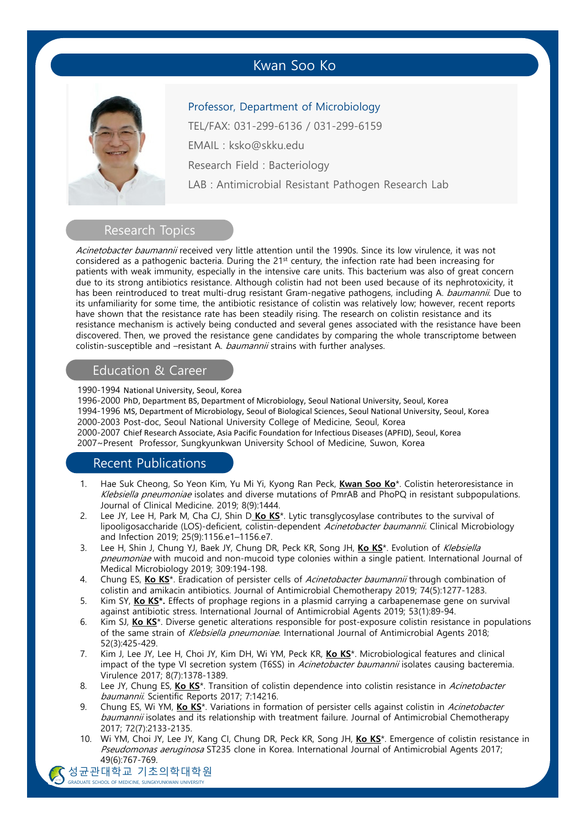# Kwan Soo Ko



#### Professor, Department of Microbiology

TEL/FAX: 031-299-6136 / 031-299-6159 EMAIL : ksko@skku.edu Research Field : Bacteriology LAB : Antimicrobial Resistant Pathogen Research Lab

### Research Topics

Acinetobacter baumannii received very little attention until the 1990s. Since its low virulence, it was not considered as a pathogenic bacteria. During the 21<sup>st</sup> century, the infection rate had been increasing for patients with weak immunity, especially in the intensive care units. This bacterium was also of great concern due to its strong antibiotics resistance. Although colistin had not been used because of its nephrotoxicity, it has been reintroduced to treat multi-drug resistant Gram-negative pathogens, including A. baumannii. Due to its unfamiliarity for some time, the antibiotic resistance of colistin was relatively low; however, recent reports have shown that the resistance rate has been steadily rising. The research on colistin resistance and its resistance mechanism is actively being conducted and several genes associated with the resistance have been discovered. Then, we proved the resistance gene candidates by comparing the whole transcriptome between colistin-susceptible and –resistant A. baumannii strains with further analyses.

#### Education & Career

1990-1994 National University, Seoul, Korea

1996-2000 PhD, Department BS, Department of Microbiology, Seoul National University, Seoul, Korea 1994-1996 MS, Department of Microbiology, Seoul of Biological Sciences, Seoul National University, Seoul, Korea 2000-2003 Post-doc, Seoul National University College of Medicine, Seoul, Korea 2000-2007 Chief Research Associate, Asia Pacific Foundation for Infectious Diseases (APFID), Seoul, Korea 2007~Present Professor, Sungkyunkwan University School of Medicine, Suwon, Korea

#### Recent Publications

- 1. Hae Suk Cheong, So Yeon Kim, Yu Mi Yi, Kyong Ran Peck, **Kwan Soo Ko**\*. Colistin heteroresistance in Klebsiella pneumoniae isolates and diverse mutations of PmrAB and PhoPQ in resistant subpopulations. Journal of Clinical Medicine. 2019; 8(9):1444.
- 2. Lee JY, Lee H, Park M, Cha CJ, Shin D **Ko KS**\*. Lytic transglycosylase contributes to the survival of lipooligosaccharide (LOS)-deficient, colistin-dependent Acinetobacter baumannii. Clinical Microbiology and Infection 2019; 25(9):1156.e1–1156.e7.
- 3. Lee H, Shin J, Chung YJ, Baek JY, Chung DR, Peck KR, Song JH, **Ko KS**\*. Evolution of Klebsiella pneumoniae with mucoid and non-mucoid type colonies within a single patient. International Journal of Medical Microbiology 2019; 309:194-198.
- 4. Chung ES, **Ko KS**\*. Eradication of persister cells of Acinetobacter baumannii through combination of colistin and amikacin antibiotics. Journal of Antimicrobial Chemotherapy 2019; 74(5):1277-1283.
- 5. Kim SY, **Ko KS\*.** Effects of prophage regions in a plasmid carrying a carbapenemase gene on survival against antibiotic stress. International Journal of Antimicrobial Agents 2019; 53(1):89-94.
- 6. Kim SJ, **Ko KS**\*. Diverse genetic alterations responsible for post-exposure colistin resistance in populations of the same strain of Klebsiella pneumoniae. International Journal of Antimicrobial Agents 2018; 52(3):425-429.
- 7. Kim J, Lee JY, Lee H, Choi JY, Kim DH, Wi YM, Peck KR, **Ko KS**\*. Microbiological features and clinical impact of the type VI secretion system (T6SS) in *Acinetobacter baumannii* isolates causing bacteremia. Virulence 2017; 8(7):1378-1389.
- 8. Lee JY, Chung ES, Ko KS<sup>\*</sup>. Transition of colistin dependence into colistin resistance in Acinetobacter baumannii. Scientific Reports 2017; 7:14216.
- 9. Chung ES, Wi YM, Ko KS<sup>\*</sup>. Variations in formation of persister cells against colistin in Acinetobacter baumannii isolates and its relationship with treatment failure. Journal of Antimicrobial Chemotherapy 2017; 72(7):2133-2135.
- 10. Wi YM, Choi JY, Lee JY, Kang CI, Chung DR, Peck KR, Song JH, **Ko KS**\*. Emergence of colistin resistance in Pseudomonas aeruginosa ST235 clone in Korea. International Journal of Antimicrobial Agents 2017; 49(6):767-769.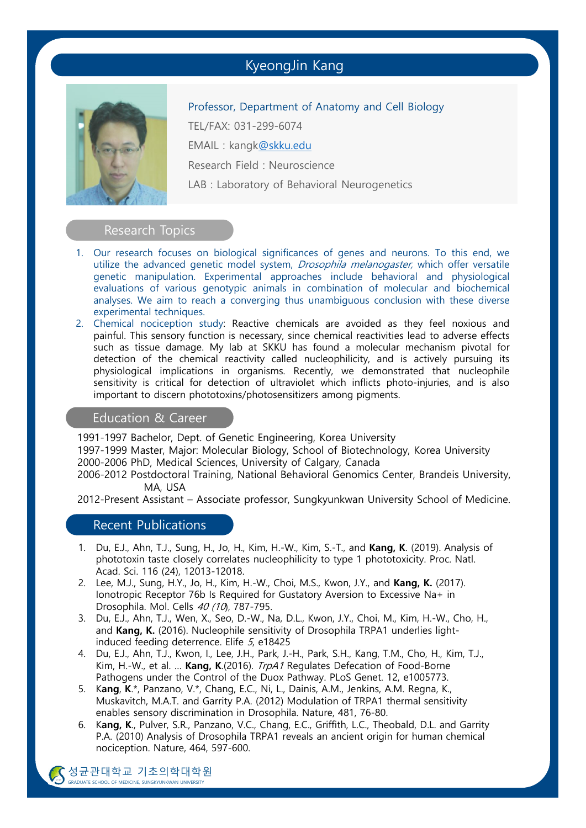# KyeongJin Kang



Professor, Department of Anatomy and Cell Biology TEL/FAX: 031-299-6074 EMAIL : kangk@skku.edu Research Field : Neuroscience LAB : Laboratory of Behavioral Neurogenetics

#### Research Topics

- 1. Our research focuses on biological significances of genes and neurons. To this end, we utilize the advanced genetic model system, *Drosophila melanogaster*, which offer versatile genetic manipulation. Experimental approaches include behavioral and physiological evaluations of various genotypic animals in combination of molecular and biochemical analyses. We aim to reach a converging thus unambiguous conclusion with these diverse experimental techniques.
- 2. Chemical nociception study: Reactive chemicals are avoided as they feel noxious and painful. This sensory function is necessary, since chemical reactivities lead to adverse effects such as tissue damage. My lab at SKKU has found a molecular mechanism pivotal for detection of the chemical reactivity called nucleophilicity, and is actively pursuing its physiological implications in organisms. Recently, we demonstrated that nucleophile sensitivity is critical for detection of ultraviolet which inflicts photo-injuries, and is also important to discern phototoxins/photosensitizers among pigments.

#### Education & Career

1991-1997 Bachelor, Dept. of Genetic Engineering, Korea University

1997-1999 Master, Major: Molecular Biology, School of Biotechnology, Korea University 2000-2006 PhD, Medical Sciences, University of Calgary, Canada

2006-2012 Postdoctoral Training, National Behavioral Genomics Center, Brandeis University, MA, USA

2012-Present Assistant – Associate professor, Sungkyunkwan University School of Medicine.

#### Recent Publications

- 1. Du, E.J., Ahn, T.J., Sung, H., Jo, H., Kim, H.-W., Kim, S.-T., and **Kang, K**. (2019). Analysis of phototoxin taste closely correlates nucleophilicity to type 1 phototoxicity. Proc. Natl. Acad. Sci. 116 (24), 12013-12018.
- 2. Lee, M.J., Sung, H.Y., Jo, H., Kim, H.-W., Choi, M.S., Kwon, J.Y., and **Kang, K.** (2017). Ionotropic Receptor 76b Is Required for Gustatory Aversion to Excessive Na+ in Drosophila. Mol. Cells 40 (10), 787-795.
- 3. Du, E.J., Ahn, T.J., Wen, X., Seo, D.-W., Na, D.L., Kwon, J.Y., Choi, M., Kim, H.-W., Cho, H., and **Kang, K.** (2016). Nucleophile sensitivity of Drosophila TRPA1 underlies lightinduced feeding deterrence. Elife 5, e18425
- 4. Du, E.J., Ahn, T.J., Kwon, I., Lee, J.H., Park, J.-H., Park, S.H., Kang, T.M., Cho, H., Kim, T.J., Kim, H.-W., et al. … **Kang, K**.(2016). TrpA1 Regulates Defecation of Food-Borne Pathogens under the Control of the Duox Pathway. PLoS Genet. 12, e1005773.
- 5. K**ang**, **K**.\*, Panzano, V.\*, Chang, E.C., Ni, L., Dainis, A.M., Jenkins, A.M. Regna, K., Muskavitch, M.A.T. and Garrity P.A. (2012) Modulation of TRPA1 thermal sensitivity enables sensory discrimination in Drosophila. Nature, 481, 76-80.
- 6. K**ang, K**., Pulver, S.R., Panzano, V.C., Chang, E.C., Griffith, L.C., Theobald, D.L. and Garrity P.A. (2010) Analysis of Drosophila TRPA1 reveals an ancient origin for human chemical nociception. Nature, 464, 597-600.

SULTEUI SULTEUN SULTEUN SUNGKYUNKWAN UNIVERSITY 성균관대학교 기초의학대학원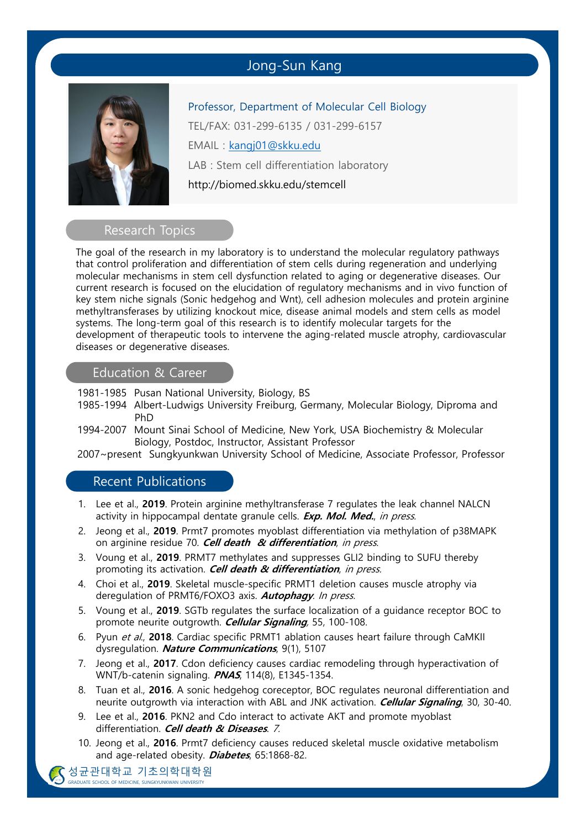# Jong-Sun Kang



Professor, Department of Molecular Cell Biology TEL/FAX: 031-299-6135 / 031-299-6157 EMAIL : kangj01@skku.edu LAB : Stem cell differentiation laboratory http://biomed.skku.edu/stemcell

#### Research Topics

The goal of the research in my laboratory is to understand the molecular regulatory pathways that control proliferation and differentiation of stem cells during regeneration and underlying molecular mechanisms in stem cell dysfunction related to aging or degenerative diseases. Our current research is focused on the elucidation of regulatory mechanisms and in vivo function of key stem niche signals (Sonic hedgehog and Wnt), cell adhesion molecules and protein arginine methyltransferases by utilizing knockout mice, disease animal models and stem cells as model systems. The long-term goal of this research is to identify molecular targets for the development of therapeutic tools to intervene the aging-related muscle atrophy, cardiovascular diseases or degenerative diseases.

## Education & Career

1981-1985 Pusan National University, Biology, BS

- 1985-1994 Albert-Ludwigs University Freiburg, Germany, Molecular Biology, Diproma and PhD
- 1994-2007 Mount Sinai School of Medicine, New York, USA Biochemistry & Molecular Biology, Postdoc, Instructor, Assistant Professor

2007~present Sungkyunkwan University School of Medicine, Associate Professor, Professor

#### Recent Publications

- 1. Lee et al., **2019**. Protein arginine methyltransferase 7 regulates the leak channel NALCN activity in hippocampal dentate granule cells. **Exp. Mol. Med.**, in press.
- 2. Jeong et al., **2019**. Prmt7 promotes myoblast differentiation via methylation of p38MAPK on arginine residue 70. **Cell death & differentiation**, in press.
- 3. Voung et al., **2019**. PRMT7 methylates and suppresses GLI2 binding to SUFU thereby promoting its activation. **Cell death & differentiation**, in press.
- 4. Choi et al., **2019**. Skeletal muscle-specific PRMT1 deletion causes muscle atrophy via deregulation of PRMT6/FOXO3 axis. **Autophagy**. In press.
- 5. Voung et al., **2019**. SGTb regulates the surface localization of a guidance receptor BOC to promote neurite outgrowth. **Cellular Signaling**, 55, 100-108.
- 6. Pyun et al., **2018**. Cardiac specific PRMT1 ablation causes heart failure through CaMKII dysregulation. **Nature Communications**, 9(1), 5107
- 7. Jeong et al., **2017**. Cdon deficiency causes cardiac remodeling through hyperactivation of WNT/b-catenin signaling. **PNAS**, 114(8), E1345-1354.
- 8. Tuan et al., **2016**. A sonic hedgehog coreceptor, BOC regulates neuronal differentiation and neurite outgrowth via interaction with ABL and JNK activation. **Cellular Signaling**, 30, 30-40.
- 9. Lee et al., **2016**. PKN2 and Cdo interact to activate AKT and promote myoblast differentiation. **Cell death & Diseases**. 7.
- 10. Jeong et al., **2016**. Prmt7 deficiency causes reduced skeletal muscle oxidative metabolism and age-related obesity. **Diabetes**, 65:1868-82.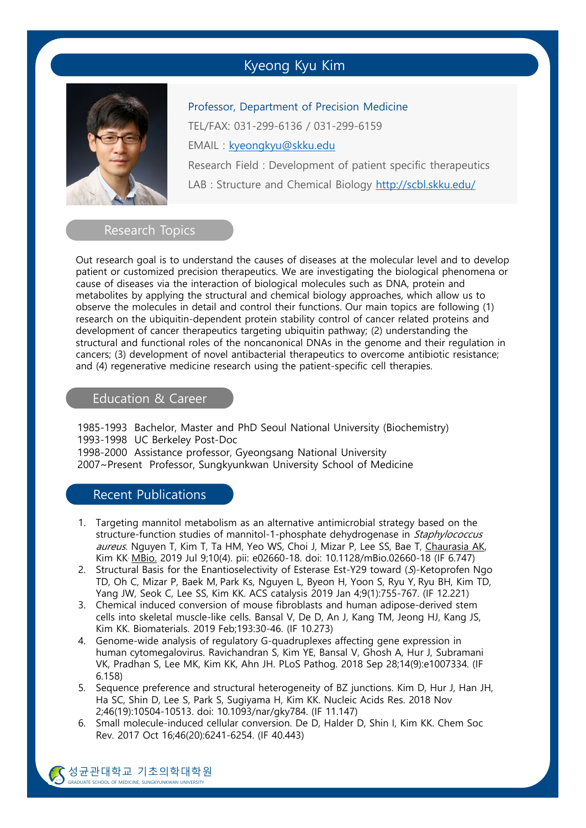# Kyeong Kyu Kim



Professor, Department of Precision Medicine TEL/FAX: 031-299-6136 / 031-299-6159 EMAIL : kyeongkyu@skku.edu Research Field : Development of patient specific therapeutics LAB : Structure and Chemical Biology http://scbl.skku.edu/

#### Research Topics

Out research goal is to understand the causes of diseases at the molecular level and to develop patient or customized precision therapeutics. We are investigating the biological phenomena or cause of diseases via the interaction of biological molecules such as DNA, protein and metabolites by applying the structural and chemical biology approaches, which allow us to observe the molecules in detail and control their functions. Our main topics are following (1) research on the ubiquitin-dependent protein stability control of cancer related proteins and development of cancer therapeutics targeting ubiquitin pathway; (2) understanding the structural and functional roles of the noncanonical DNAs in the genome and their regulation in cancers; (3) development of novel antibacterial therapeutics to overcome antibiotic resistance; and (4) regenerative medicine research using the patient-specific cell therapies.

### Education & Career

1985-1993 Bachelor, Master and PhD Seoul National University (Biochemistry) 1993-1998 UC Berkeley Post-Doc 1998-2000 Assistance professor, Gyeongsang National University 2007~Present Professor, Sungkyunkwan University School of Medicine

### Recent Publications

- 1. Targeting mannitol metabolism as an alternative antimicrobial strategy based on the structure-function studies of mannitol-1-phosphate dehydrogenase in Staphylococcus aureus. Nguyen T, Kim T, Ta HM, Yeo WS, Choi J, Mizar P, Lee SS, Bae T, Chaurasia AK, Kim KK. MBio. 2019 Jul 9;10(4). pii: e02660-18. doi: 10.1128/mBio.02660-18 (IF 6.747)
- 2. Structural Basis for the Enantioselectivity of Esterase Est-Y29 toward (S)-Ketoprofen Ngo TD, Oh C, Mizar P, Baek M, Park Ks, Nguyen L, Byeon H, Yoon S, Ryu Y, Ryu BH, Kim TD, Yang JW, Seok C, Lee SS, Kim KK. ACS catalysis 2019 Jan 4;9(1):755-767. (IF 12.221)
- 3. Chemical induced conversion of mouse fibroblasts and human adipose-derived stem cells into skeletal muscle-like cells. Bansal V, De D, An J, Kang TM, Jeong HJ, Kang JS, Kim KK. Biomaterials. 2019 Feb;193:30-46. (IF 10.273)
- 4. Genome-wide analysis of regulatory G-quadruplexes affecting gene expression in human cytomegalovirus. Ravichandran S, Kim YE, Bansal V, Ghosh A, Hur J, Subramani VK, Pradhan S, Lee MK, Kim KK, Ahn JH. PLoS Pathog. 2018 Sep 28;14(9):e1007334. (IF 6.158)
- 5. Sequence preference and structural heterogeneity of BZ junctions. Kim D, Hur J, Han JH, Ha SC, Shin D, Lee S, Park S, Sugiyama H, Kim KK. Nucleic Acids Res. 2018 Nov 2;46(19):10504-10513. doi: 10.1093/nar/gky784. (IF 11.147)
- 6. Small molecule-induced cellular conversion. De D, Halder D, Shin I, Kim KK. Chem Soc Rev. 2017 Oct 16;46(20):6241-6254. (IF 40.443)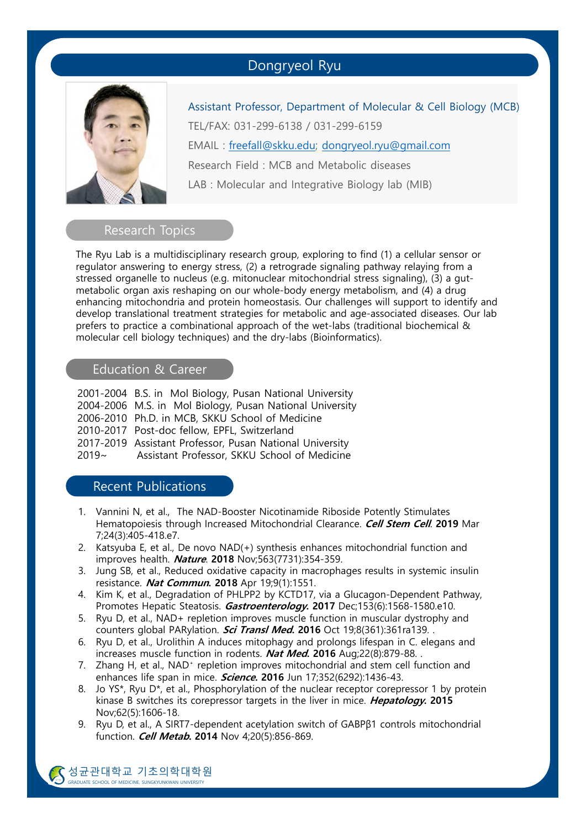## Dongryeol Ryu



Assistant Professor, Department of Molecular & Cell Biology (MCB) TEL/FAX: 031-299-6138 / 031-299-6159 EMAIL : freefall@skku.edu; dongryeol.ryu@gmail.com Research Field : MCB and Metabolic diseases LAB : Molecular and Integrative Biology lab (MIB)

#### Research Topics

The Ryu Lab is a multidisciplinary research group, exploring to find (1) a cellular sensor or regulator answering to energy stress, (2) a retrograde signaling pathway relaying from a stressed organelle to nucleus (e.g. mitonuclear mitochondrial stress signaling), (3) a gutmetabolic organ axis reshaping on our whole-body energy metabolism, and (4) a drug enhancing mitochondria and protein homeostasis. Our challenges will support to identify and develop translational treatment strategies for metabolic and age-associated diseases. Our lab prefers to practice a combinational approach of the wet-labs (traditional biochemical & molecular cell biology techniques) and the dry-labs (Bioinformatics).

#### Education & Career

|          | 2001-2004 B.S. in Mol Biology, Pusan National University |
|----------|----------------------------------------------------------|
|          | 2004-2006 M.S. in Mol Biology, Pusan National University |
|          | 2006-2010 Ph.D. in MCB, SKKU School of Medicine          |
|          | 2010-2017 Post-doc fellow, EPFL, Switzerland             |
|          | 2017-2019 Assistant Professor, Pusan National University |
| $2019 -$ | Assistant Professor, SKKU School of Medicine             |
|          |                                                          |

### Recent Publications

- 1. Vannini N, et al., The NAD-Booster Nicotinamide Riboside Potently Stimulates Hematopoiesis through Increased Mitochondrial Clearance. **Cell Stem Cell**. **2019** Mar 7;24(3):405-418.e7.
- 2. Katsyuba E, et al., De novo NAD(+) synthesis enhances mitochondrial function and improves health. **Nature**. **2018** Nov;563(7731):354-359.
- 3. Jung SB, et al., Reduced oxidative capacity in macrophages results in systemic insulin resistance. **Nat Commun. 2018** Apr 19;9(1):1551.
- 4. Kim K, et al., Degradation of PHLPP2 by KCTD17, via a Glucagon-Dependent Pathway, Promotes Hepatic Steatosis. **Gastroenterology. 2017** Dec;153(6):1568-1580.e10.
- 5. Ryu D, et al., NAD+ repletion improves muscle function in muscular dystrophy and counters global PARylation. **Sci Transl Med. 2016** Oct 19;8(361):361ra139. .
- 6. Ryu D, et al., Urolithin A induces mitophagy and prolongs lifespan in C. elegans and increases muscle function in rodents. **Nat Med. 2016** Aug;22(8):879-88. .
- 7. Zhang H, et al., NAD⁺ repletion improves mitochondrial and stem cell function and enhances life span in mice. **Science. 2016** Jun 17;352(6292):1436-43.
- 8. Jo YS\*, Ryu  $D^*$ , et al., Phosphorylation of the nuclear receptor corepressor 1 by protein kinase B switches its corepressor targets in the liver in mice. **Hepatology. 2015**  Nov;62(5):1606-18.
- 9. Ryu D, et al., A SIRT7-dependent acetylation switch of GABPβ1 controls mitochondrial function. **Cell Metab. 2014** Nov 4;20(5):856-869.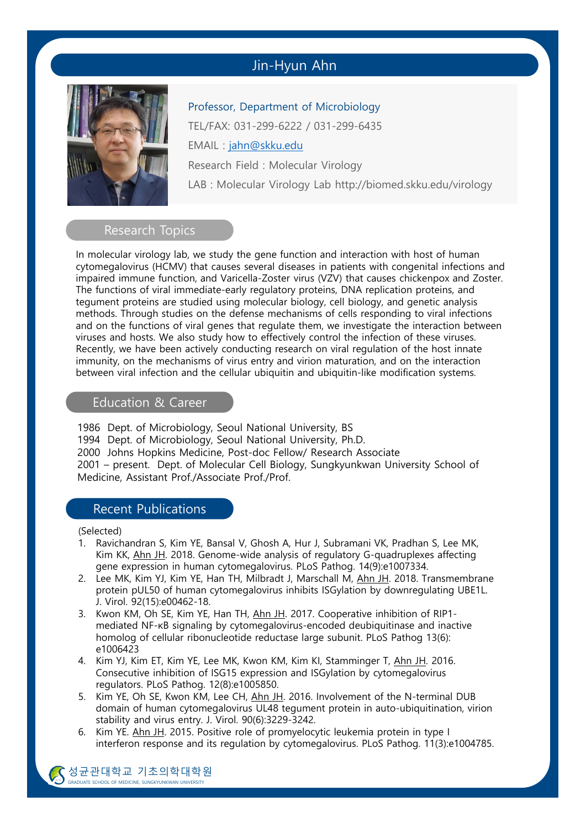# Jin-Hyun Ahn

Professor, Department of Microbiology



TEL/FAX: 031-299-6222 / 031-299-6435 EMAIL : jahn@skku.edu Research Field : Molecular Virology LAB : Molecular Virology Lab http://biomed.skku.edu/virology

#### Research Topics

In molecular virology lab, we study the gene function and interaction with host of human cytomegalovirus (HCMV) that causes several diseases in patients with congenital infections and impaired immune function, and Varicella-Zoster virus (VZV) that causes chickenpox and Zoster. The functions of viral immediate-early regulatory proteins, DNA replication proteins, and tegument proteins are studied using molecular biology, cell biology, and genetic analysis methods. Through studies on the defense mechanisms of cells responding to viral infections and on the functions of viral genes that regulate them, we investigate the interaction between viruses and hosts. We also study how to effectively control the infection of these viruses. Recently, we have been actively conducting research on viral regulation of the host innate immunity, on the mechanisms of virus entry and virion maturation, and on the interaction between viral infection and the cellular ubiquitin and ubiquitin-like modification systems.

### Education & Career

1986 Dept. of Microbiology, Seoul National University, BS 1994 Dept. of Microbiology, Seoul National University, Ph.D. 2000 Johns Hopkins Medicine, Post-doc Fellow/ Research Associate 2001 – present. Dept. of Molecular Cell Biology, Sungkyunkwan University School of Medicine, Assistant Prof./Associate Prof./Prof.

#### Recent Publications

(Selected)

- 1. Ravichandran S, Kim YE, Bansal V, Ghosh A, Hur J, Subramani VK, Pradhan S, Lee MK, Kim KK, Ahn JH. 2018. Genome-wide analysis of regulatory G-quadruplexes affecting gene expression in human cytomegalovirus. PLoS Pathog. 14(9):e1007334.
- 2. Lee MK, Kim YJ, Kim YE, Han TH, Milbradt J, Marschall M, Ahn JH. 2018. Transmembrane protein pUL50 of human cytomegalovirus inhibits ISGylation by downregulating UBE1L. J. Virol. 92(15):e00462-18.
- 3. Kwon KM, Oh SE, Kim YE, Han TH, Ahn JH. 2017. Cooperative inhibition of RIP1 mediated NF-κB signaling by cytomegalovirus-encoded deubiquitinase and inactive homolog of cellular ribonucleotide reductase large subunit. PLoS Pathog 13(6): e1006423
- 4. Kim YJ, Kim ET, Kim YE, Lee MK, Kwon KM, Kim KI, Stamminger T, Ahn JH. 2016. Consecutive inhibition of ISG15 expression and ISGylation by cytomegalovirus regulators. PLoS Pathog. 12(8):e1005850.
- 5. Kim YE, Oh SE, Kwon KM, Lee CH, Ahn JH. 2016. Involvement of the N-terminal DUB domain of human cytomegalovirus UL48 tegument protein in auto-ubiquitination, virion stability and virus entry. J. Virol. 90(6):3229-3242.
- 6. Kim YE. Ahn JH. 2015. Positive role of promyelocytic leukemia protein in type I interferon response and its regulation by cytomegalovirus. PLoS Pathog. 11(3):e1004785.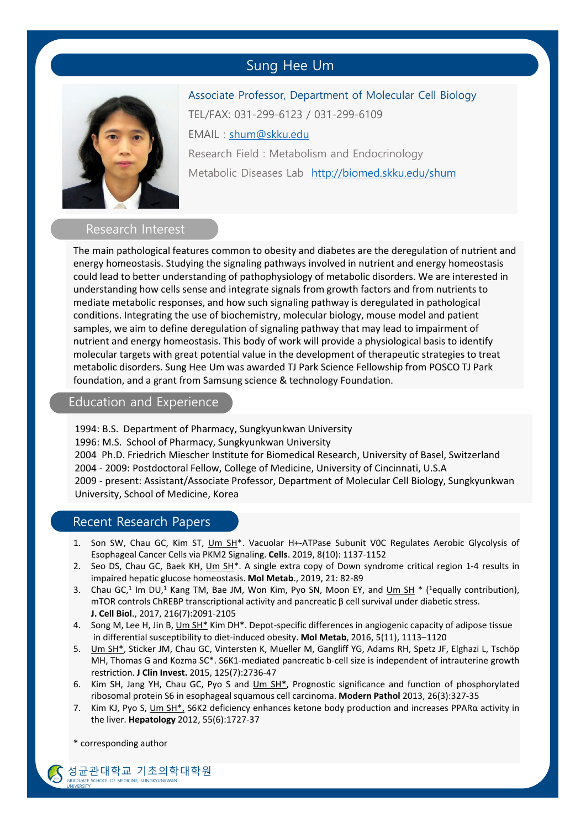# Sung Hee Um



Associate Professor, Department of Molecular Cell Biology TEL/FAX: 031-299-6123 / 031-299-6109 EMAIL : shum@skku.edu Research Field : Metabolism and Endocrinology Metabolic Diseases Lab http://biomed.skku.edu/shum

#### Research Interest

The main pathological features common to obesity and diabetes are the deregulation of nutrient and energy homeostasis. Studying the signaling pathways involved in nutrient and energy homeostasis could lead to better understanding of pathophysiology of metabolic disorders. We are interested in understanding how cells sense and integrate signals from growth factors and from nutrients to mediate metabolic responses, and how such signaling pathway is deregulated in pathological conditions. Integrating the use of biochemistry, molecular biology, mouse model and patient samples, we aim to define deregulation of signaling pathway that may lead to impairment of nutrient and energy homeostasis. This body of work will provide a physiological basis to identify molecular targets with great potential value in the development of therapeutic strategies to treat metabolic disorders. Sung Hee Um was awarded TJ Park Science Fellowship from POSCO TJ Park foundation, and a grant from Samsung science & technology Foundation.

#### Education and Experience

1994: B.S. Department of Pharmacy, Sungkyunkwan University 1996: M.S. School of Pharmacy, Sungkyunkwan University 2004 Ph.D. Friedrich Miescher Institute for Biomedical Research, University of Basel, Switzerland 2004 ‐ 2009: Postdoctoral Fellow, College of Medicine, University of Cincinnati, U.S.A 2009 ‐ present: Assistant/Associate Professor, Department of Molecular Cell Biology, Sungkyunkwan University, School of Medicine, Korea

### Recent Research Papers

- 1. Son SW, Chau GC, Kim ST, Um SH<sup>\*</sup>. Vacuolar H+-ATPase Subunit VOC Regulates Aerobic Glycolysis of Esophageal Cancer Cells via PKM2 Signaling. **Cells**. 2019, 8(10): 1137‐1152
- 2. Seo DS, Chau GC, Baek KH, Um SH<sup>\*</sup>. A single extra copy of Down syndrome critical region 1-4 results in impaired hepatic glucose homeostasis. **Mol Metab**., 2019, 21: 82‐89
- 3. Chau GC,<sup>1</sup> Im DU,<sup>1</sup> Kang TM, Bae JM, Won Kim, Pyo SN, Moon EY, and Um SH  $*$  (<sup>1</sup>equally contribution), mTOR controls ChREBP transcriptional activity and pancreatic β cell survival under diabetic stress. **J. Cell Biol**., 2017, 216(7):2091‐2105
- 4. Song M, Lee H, Jin B, Um SH\* Kim DH\*. Depot‐specific differences in angiogenic capacity of adipose tissue in differential susceptibility to diet‐induced obesity. **Mol Metab**, 2016, 5(11), 1113–1120
- 5. Um SH<sup>\*</sup>, Sticker JM, Chau GC, Vintersten K, Mueller M, Gangliff YG, Adams RH, Spetz JF, Elghazi L, Tschöp MH, Thomas G and Kozma SC\*. S6K1‐mediated pancreatic b‐cell size is independent of intrauterine growth restriction. **J Clin Invest.** 2015, 125(7):2736‐47
- 6. Kim SH, Jang YH, Chau GC, Pyo S and  $\underline{\mathsf{Um} \ \mathsf{SH}^*}$ , Prognostic significance and function of phosphorylated ribosomal protein S6 in esophageal squamous cell carcinoma. **Modern Pathol** 2013, 26(3):327‐35
- 7. Kim KJ, Pyo S, Um SH\*, S6K2 deficiency enhances ketone body production and increases PPARα activity in the liver. **Hepatology** 2012, 55(6):1727‐37

\* corresponding author

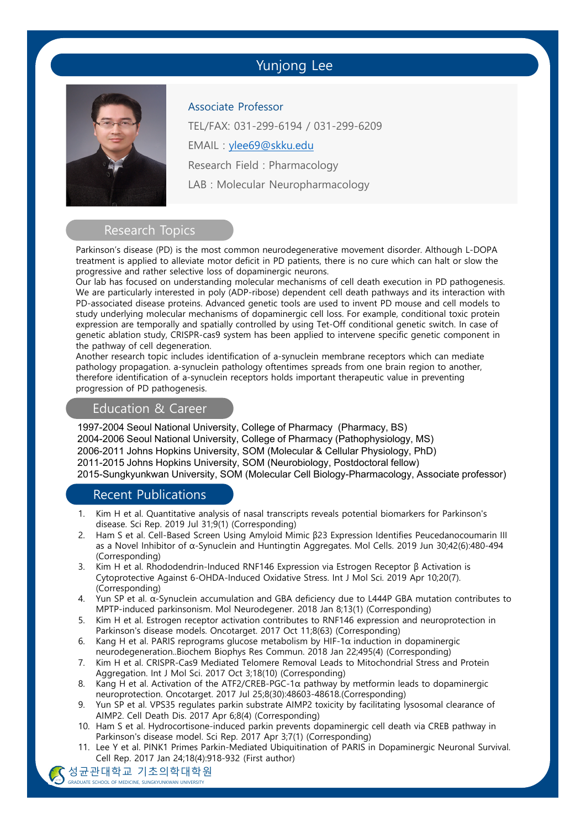## Yunjong Lee



Associate Professor

TEL/FAX: 031-299-6194 / 031-299-6209

EMAIL : ylee69@skku.edu

Research Field : Pharmacology

LAB : Molecular Neuropharmacology

# Research Topics

Parkinson's disease (PD) is the most common neurodegenerative movement disorder. Although L-DOPA treatment is applied to alleviate motor deficit in PD patients, there is no cure which can halt or slow the progressive and rather selective loss of dopaminergic neurons.

Our lab has focused on understanding molecular mechanisms of cell death execution in PD pathogenesis. We are particularly interested in poly (ADP-ribose) dependent cell death pathways and its interaction with PD-associated disease proteins. Advanced genetic tools are used to invent PD mouse and cell models to study underlying molecular mechanisms of dopaminergic cell loss. For example, conditional toxic protein expression are temporally and spatially controlled by using Tet-Off conditional genetic switch. In case of genetic ablation study, CRISPR-cas9 system has been applied to intervene specific genetic component in the pathway of cell degeneration.

Another research topic includes identification of a-synuclein membrane receptors which can mediate pathology propagation. a-synuclein pathology oftentimes spreads from one brain region to another, therefore identification of a-synuclein receptors holds important therapeutic value in preventing progression of PD pathogenesis.

#### Education & Career

1997-2004 Seoul National University, College of Pharmacy (Pharmacy, BS) 2004-2006 Seoul National University, College of Pharmacy (Pathophysiology, MS) 2006-2011 Johns Hopkins University, SOM (Molecular & Cellular Physiology, PhD) 2011-2015 Johns Hopkins University, SOM (Neurobiology, Postdoctoral fellow) 2015-Sungkyunkwan University, SOM (Molecular Cell Biology-Pharmacology, Associate professor)

## Recent Publications

- 1. Kim H et al. Quantitative analysis of nasal transcripts reveals potential biomarkers for Parkinson's disease. Sci Rep. 2019 Jul 31;9(1) (Corresponding)
- 2. Ham S et al. Cell-Based Screen Using Amyloid Mimic β23 Expression Identifies Peucedanocoumarin III as a Novel Inhibitor of α-Synuclein and Huntingtin Aggregates. Mol Cells. 2019 Jun 30;42(6):480-494 (Corresponding)
- 3. Kim H et al. Rhododendrin-Induced RNF146 Expression via Estrogen Receptor β Activation is Cytoprotective Against 6-OHDA-Induced Oxidative Stress. Int J Mol Sci. 2019 Apr 10;20(7). (Corresponding)
- 4. Yun SP et al. α-Synuclein accumulation and GBA deficiency due to L444P GBA mutation contributes to MPTP-induced parkinsonism. Mol Neurodegener. 2018 Jan 8;13(1) (Corresponding)
- 5. Kim H et al. Estrogen receptor activation contributes to RNF146 expression and neuroprotection in Parkinson's disease models. Oncotarget. 2017 Oct 11;8(63) (Corresponding)
- 6. Kang H et al. PARIS reprograms glucose metabolism by HIF-1α induction in dopaminergic neurodegeneration..Biochem Biophys Res Commun. 2018 Jan 22;495(4) (Corresponding)
- 7. Kim H et al. CRISPR-Cas9 Mediated Telomere Removal Leads to Mitochondrial Stress and Protein Aggregation. Int J Mol Sci. 2017 Oct 3;18(10) (Corresponding)
- 8. Kang H et al. Activation of the ATF2/CREB-PGC-1α pathway by metformin leads to dopaminergic neuroprotection. Oncotarget. 2017 Jul 25;8(30):48603-48618.(Corresponding)
- 9. Yun SP et al. VPS35 regulates parkin substrate AIMP2 toxicity by facilitating lysosomal clearance of AIMP2. Cell Death Dis. 2017 Apr 6;8(4) (Corresponding)
- 10. Ham S et al. Hydrocortisone-induced parkin prevents dopaminergic cell death via CREB pathway in Parkinson's disease model. Sci Rep. 2017 Apr 3;7(1) (Corresponding)
- 11. Lee Y et al. PINK1 Primes Parkin-Mediated Ubiquitination of PARIS in Dopaminergic Neuronal Survival. Cell Rep. 2017 Jan 24;18(4):918-932 (First author)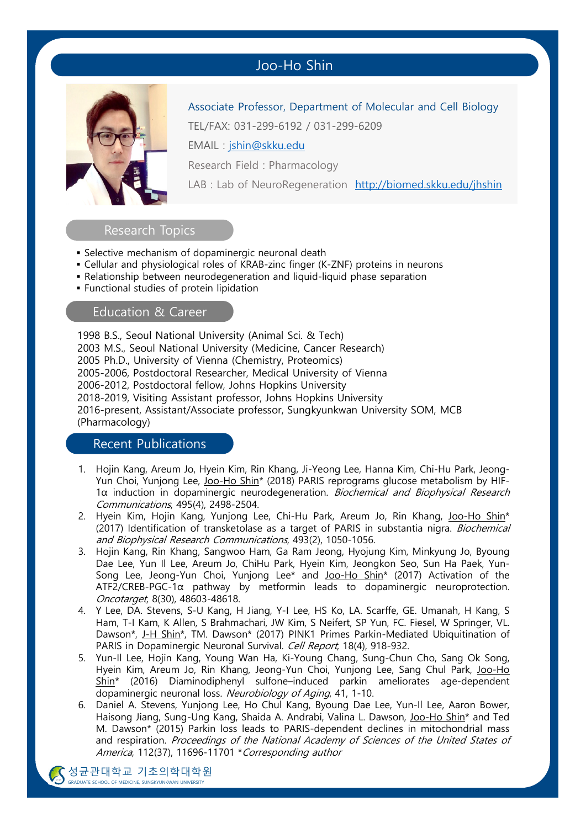# Joo-Ho Shin



Associate Professor, Department of Molecular and Cell Biology

TEL/FAX: 031-299-6192 / 031-299-6209

EMAIL : jshin@skku.edu

Research Field : Pharmacology

LAB : Lab of NeuroRegeneration http://biomed.skku.edu/jhshin

#### Research Topics

- **E** Selective mechanism of dopaminergic neuronal death
- Cellular and physiological roles of KRAB-zinc finger (K-ZNF) proteins in neurons
- Relationship between neurodegeneration and liquid-liquid phase separation
- **Functional studies of protein lipidation**

### Education & Career

1998 B.S., Seoul National University (Animal Sci. & Tech) 2003 M.S., Seoul National University (Medicine, Cancer Research) 2005 Ph.D., University of Vienna (Chemistry, Proteomics) 2005-2006, Postdoctoral Researcher, Medical University of Vienna 2006-2012, Postdoctoral fellow, Johns Hopkins University 2018-2019, Visiting Assistant professor, Johns Hopkins University 2016-present, Assistant/Associate professor, Sungkyunkwan University SOM, MCB (Pharmacology)

#### Recent Publications

- 1. Hojin Kang, Areum Jo, Hyein Kim, Rin Khang, Ji-Yeong Lee, Hanna Kim, Chi-Hu Park, Jeong-Yun Choi, Yunjong Lee, Joo-Ho Shin<sup>\*</sup> (2018) PARIS reprograms glucose metabolism by HIF- $1\alpha$  induction in dopaminergic neurodegeneration. Biochemical and Biophysical Research Communications, 495(4), 2498-2504.
- 2. Hyein Kim, Hojin Kang, Yunjong Lee, Chi-Hu Park, Areum Jo, Rin Khang, Joo-Ho Shin\* (2017) Identification of transketolase as a target of PARIS in substantia nigra. Biochemical and Biophysical Research Communications, 493(2), 1050-1056.
- 3. Hojin Kang, Rin Khang, Sangwoo Ham, Ga Ram Jeong, Hyojung Kim, Minkyung Jo, Byoung Dae Lee, Yun Il Lee, Areum Jo, ChiHu Park, Hyein Kim, Jeongkon Seo, Sun Ha Paek, Yun-Song Lee, Jeong-Yun Choi, Yunjong Lee\* and Joo-Ho Shin<sup>\*</sup> (2017) Activation of the  $ATF2/CREB-PGC-1\alpha$  pathway by metformin leads to dopaminergic neuroprotection. Oncotarget, 8(30), 48603-48618.
- 4. Y Lee, DA. Stevens, S-U Kang, H Jiang, Y-I Lee, HS Ko, LA. Scarffe, GE. Umanah, H Kang, S Ham, T-I Kam, K Allen, S Brahmachari, JW Kim, S Neifert, SP Yun, FC. Fiesel, W Springer, VL. Dawson\*, J-H Shin\*, TM. Dawson\* (2017) PINK1 Primes Parkin-Mediated Ubiquitination of PARIS in Dopaminergic Neuronal Survival. Cell Report, 18(4), 918-932.
- 5. Yun-Il Lee, Hojin Kang, Young Wan Ha, Ki-Young Chang, Sung-Chun Cho, Sang Ok Song, Hyein Kim, Areum Jo, Rin Khang, Jeong-Yun Choi, Yunjong Lee, Sang Chul Park, Joo-Ho Shin\* (2016) Diaminodiphenyl sulfone–induced parkin ameliorates age-dependent dopaminergic neuronal loss. Neurobiology of Aging, 41, 1-10.
- 6. Daniel A. Stevens, Yunjong Lee, Ho Chul Kang, Byoung Dae Lee, Yun-Il Lee, Aaron Bower, Haisong Jiang, Sung-Ung Kang, Shaida A. Andrabi, Valina L. Dawson, Joo-Ho Shin\* and Ted M. Dawson\* (2015) Parkin loss leads to PARIS-dependent declines in mitochondrial mass and respiration. Proceedings of the National Academy of Sciences of the United States of America, 112(37), 11696-11701 \*Corresponding author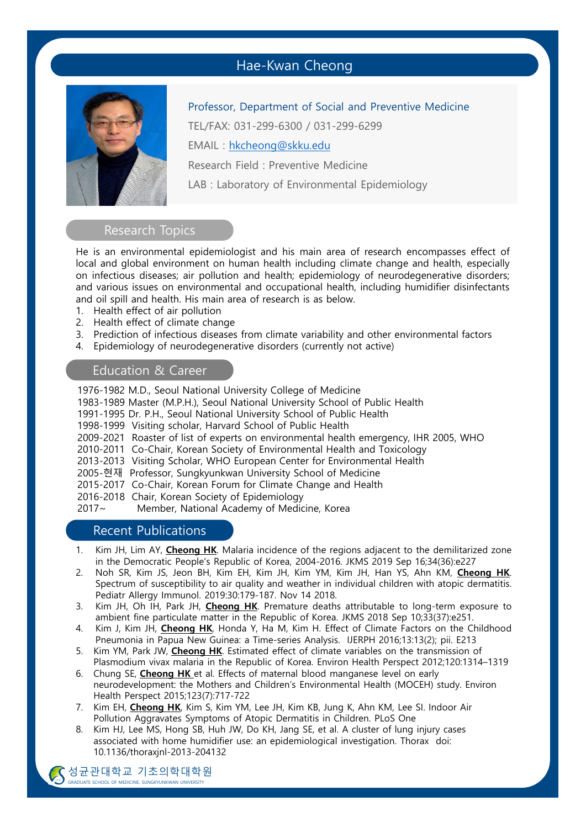## Hae-Kwan Cheong



Professor, Department of Social and Preventive Medicine

TEL/FAX: 031-299-6300 / 031-299-6299

EMAIL : hkcheong@skku.edu

Research Field : Preventive Medicine

LAB : Laboratory of Environmental Epidemiology

#### Research Topics

He is an environmental epidemiologist and his main area of research encompasses effect of local and global environment on human health including climate change and health, especially on infectious diseases; air pollution and health; epidemiology of neurodegenerative disorders; and various issues on environmental and occupational health, including humidifier disinfectants and oil spill and health. His main area of research is as below.

- 1. Health effect of air pollution
- 2. Health effect of climate change
- 3. Prediction of infectious diseases from climate variability and other environmental factors
- 4. Epidemiology of neurodegenerative disorders (currently not active)

## Education & Career

1976-1982 M.D., Seoul National University College of Medicine

- 1983-1989 Master (M.P.H.), Seoul National University School of Public Health
- 1991-1995 Dr. P.H., Seoul National University School of Public Health
- 1998-1999 Visiting scholar, Harvard School of Public Health
- 2009-2021 Roaster of list of experts on environmental health emergency, IHR 2005, WHO
- 2010-2011 Co-Chair, Korean Society of Environmental Health and Toxicology
- 2013-2013 Visiting Scholar, WHO European Center for Environmental Health
- 2005-현재 Professor, Sungkyunkwan University School of Medicine
- 2015-2017 Co-Chair, Korean Forum for Climate Change and Health
- 2016-2018 Chair, Korean Society of Epidemiology

2017~ Member, National Academy of Medicine, Korea

## Recent Publications

- 1. Kim JH, Lim AY, **Cheong HK**. Malaria incidence of the regions adjacent to the demilitarized zone in the Democratic People's Republic of Korea, 2004-2016. JKMS 2019 Sep 16;34(36):e227
- 2. Noh SR, Kim JS, Jeon BH, Kim EH, Kim JH, Kim YM, Kim JH, Han YS, Ahn KM, **Cheong HK**. Spectrum of susceptibility to air quality and weather in individual children with atopic dermatitis. Pediatr Allergy Immunol. 2019:30:179-187. Nov 14 2018.
- 3. Kim JH, Oh IH, Park JH, **Cheong HK**. Premature deaths attributable to long-term exposure to ambient fine particulate matter in the Republic of Korea. JKMS 2018 Sep 10;33(37):e251.
- 4. Kim J, Kim JH, **Cheong HK**, Honda Y, Ha M, Kim H. Effect of Climate Factors on the Childhood Pneumonia in Papua New Guinea: a Time-series Analysis. IJERPH 2016;13:13(2); pii. E213
- 5. Kim YM, Park JW, **Cheong HK**. Estimated effect of climate variables on the transmission of Plasmodium vivax malaria in the Republic of Korea. Environ Health Perspect 2012;120:1314–1319
- 6. Chung SE, **Cheong HK** et al. Effects of maternal blood manganese level on early neurodevelopment: the Mothers and Children's Environmental Health (MOCEH) study. Environ Health Perspect 2015;123(7):717-722
- 7. Kim EH, **Cheong HK**, Kim S, Kim YM, Lee JH, Kim KB, Jung K, Ahn KM, Lee SI. Indoor Air Pollution Aggravates Symptoms of Atopic Dermatitis in Children. PLoS One
- 8. Kim HJ, Lee MS, Hong SB, Huh JW, Do KH, Jang SE, et al. A cluster of lung injury cases associated with home humidifier use: an epidemiological investigation. Thorax doi: 10.1136/thoraxjnl-2013-204132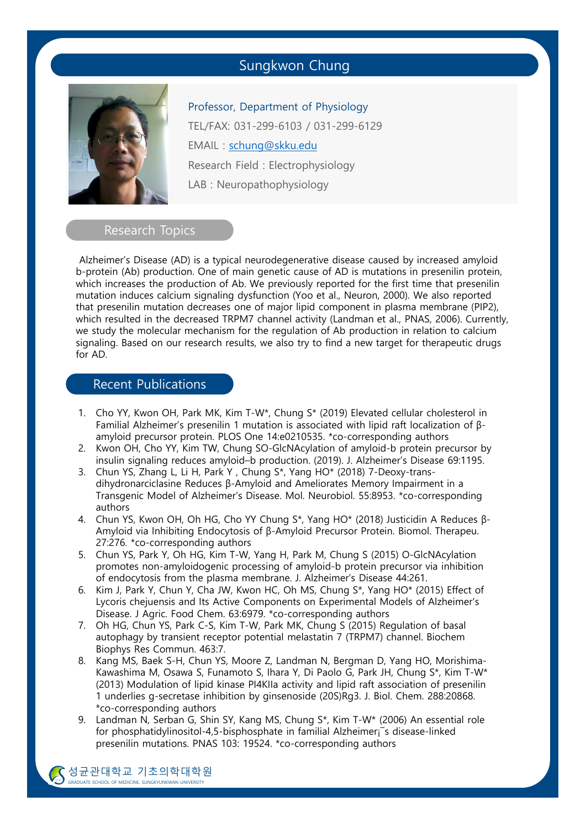## Sungkwon Chung



Professor, Department of Physiology TEL/FAX: 031-299-6103 / 031-299-6129 EMAIL : schung@skku.edu Research Field : Electrophysiology LAB : Neuropathophysiology

#### Research Topics

Alzheimer's Disease (AD) is a typical neurodegenerative disease caused by increased amyloid b-protein (Ab) production. One of main genetic cause of AD is mutations in presenilin protein, which increases the production of Ab. We previously reported for the first time that presenilin mutation induces calcium signaling dysfunction (Yoo et al., Neuron, 2000). We also reported that presenilin mutation decreases one of major lipid component in plasma membrane (PIP2), which resulted in the decreased TRPM7 channel activity (Landman et al., PNAS, 2006). Currently, we study the molecular mechanism for the regulation of Ab production in relation to calcium signaling. Based on our research results, we also try to find a new target for therapeutic drugs for AD.

## Recent Publications

- 1. Cho YY, Kwon OH, Park MK, Kim T-W\*, Chung S\* (2019) Elevated cellular cholesterol in Familial Alzheimer's presenilin 1 mutation is associated with lipid raft localization of βamyloid precursor protein. PLOS One 14:e0210535. \*co-corresponding authors
- 2. Kwon OH, Cho YY, Kim TW, Chung SO-GlcNAcylation of amyloid-b protein precursor by insulin signaling reduces amyloid–b production. (2019). J. Alzheimer's Disease 69:1195.
- 3. Chun YS, Zhang L, Li H, Park Y , Chung S\*, Yang HO\* (2018) 7-Deoxy-transdihydronarciclasine Reduces β-Amyloid and Ameliorates Memory Impairment in a Transgenic Model of Alzheimer's Disease. Mol. Neurobiol. 55:8953. \*co-corresponding authors
- 4. Chun YS, Kwon OH, Oh HG, Cho YY Chung S\*, Yang HO\* (2018) Justicidin A Reduces β-Amyloid via Inhibiting Endocytosis of β-Amyloid Precursor Protein. Biomol. Therapeu. 27:276. \*co-corresponding authors
- 5. Chun YS, Park Y, Oh HG, Kim T-W, Yang H, Park M, Chung S (2015) O-GlcNAcylation promotes non-amyloidogenic processing of amyloid-b protein precursor via inhibition of endocytosis from the plasma membrane. J. Alzheimer's Disease 44:261.
- 6. Kim J, Park Y, Chun Y, Cha JW, Kwon HC, Oh MS, Chung S\*, Yang HO\* (2015) Effect of Lycoris chejuensis and Its Active Components on Experimental Models of Alzheimer's Disease. J Agric. Food Chem. 63:6979. \*co-corresponding authors
- 7. Oh HG, Chun YS, Park C-S, Kim T-W, Park MK, Chung S (2015) Regulation of basal autophagy by transient receptor potential melastatin 7 (TRPM7) channel. Biochem Biophys Res Commun. 463:7.
- 8. Kang MS, Baek S-H, Chun YS, Moore Z, Landman N, Bergman D, Yang HO, Morishima-Kawashima M, Osawa S, Funamoto S, Ihara Y, Di Paolo G, Park JH, Chung S\*, Kim T-W\* (2013) Modulation of lipid kinase PI4KIIa activity and lipid raft association of presenilin 1 underlies g-secretase inhibition by ginsenoside (20S)Rg3. J. Biol. Chem. 288:20868. \*co-corresponding authors
- 9. Landman N, Serban G, Shin SY, Kang MS, Chung S\*, Kim T-W\* (2006) An essential role for phosphatidylinositol-4,5-bisphosphate in familial Alzheimer¡¯s disease-linked presenilin mutations. PNAS 103: 19524. \*co-corresponding authors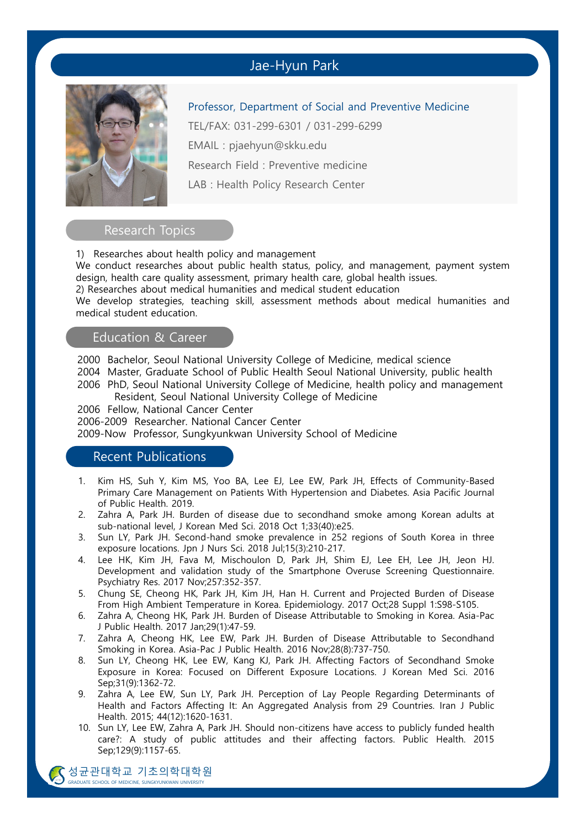## Jae-Hyun Park



Professor, Department of Social and Preventive Medicine

TEL/FAX: 031-299-6301 / 031-299-6299

EMAIL : pjaehyun@skku.edu

Research Field : Preventive medicine

LAB : Health Policy Research Center

### Research Topics

1) Researches about health policy and management

We conduct researches about public health status, policy, and management, payment system design, health care quality assessment, primary health care, global health issues.

2) Researches about medical humanities and medical student education

We develop strategies, teaching skill, assessment methods about medical humanities and medical student education.

#### Education & Career

2000 Bachelor, Seoul National University College of Medicine, medical science

2004 Master, Graduate School of Public Health Seoul National University, public health

2006 PhD, Seoul National University College of Medicine, health policy and management Resident, Seoul National University College of Medicine

2006 Fellow, National Cancer Center

2006-2009 Researcher. National Cancer Center

2009-Now Professor, Sungkyunkwan University School of Medicine

## Recent Publications

- 1. Kim HS, Suh Y, Kim MS, Yoo BA, Lee EJ, Lee EW, Park JH, Effects of Community-Based Primary Care Management on Patients With Hypertension and Diabetes. Asia Pacific Journal of Public Health. 2019.
- 2. Zahra A, Park JH. Burden of disease due to secondhand smoke among Korean adults at sub-national level, J Korean Med Sci. 2018 Oct 1;33(40):e25.
- 3. Sun LY, Park JH. Second-hand smoke prevalence in 252 regions of South Korea in three exposure locations. Jpn J Nurs Sci. 2018 Jul;15(3):210-217.
- 4. Lee HK, Kim JH, Fava M, Mischoulon D, Park JH, Shim EJ, Lee EH, Lee JH, Jeon HJ. Development and validation study of the Smartphone Overuse Screening Questionnaire. Psychiatry Res. 2017 Nov;257:352-357.
- 5. Chung SE, Cheong HK, Park JH, Kim JH, Han H. Current and Projected Burden of Disease From High Ambient Temperature in Korea. Epidemiology. 2017 Oct;28 Suppl 1:S98-S105.
- 6. Zahra A, Cheong HK, Park JH. Burden of Disease Attributable to Smoking in Korea. Asia-Pac J Public Health. 2017 Jan;29(1):47-59.
- 7. Zahra A, Cheong HK, Lee EW, Park JH. Burden of Disease Attributable to Secondhand Smoking in Korea. Asia-Pac J Public Health. 2016 Nov;28(8):737-750.
- 8. Sun LY, Cheong HK, Lee EW, Kang KJ, Park JH. Affecting Factors of Secondhand Smoke Exposure in Korea: Focused on Different Exposure Locations. J Korean Med Sci. 2016 Sep;31(9):1362-72.
- 9. Zahra A, Lee EW, Sun LY, Park JH. Perception of Lay People Regarding Determinants of Health and Factors Affecting It: An Aggregated Analysis from 29 Countries. Iran J Public Health. 2015; 44(12):1620-1631.
- 10. Sun LY, Lee EW, Zahra A, Park JH. Should non-citizens have access to publicly funded health care?: A study of public attitudes and their affecting factors. Public Health. 2015 Sep;129(9):1157-65.

SULTUI SULTUI SULTUI SUNGKYUNKWAN UNIVERSITY 성균관대학교 기초의학대학원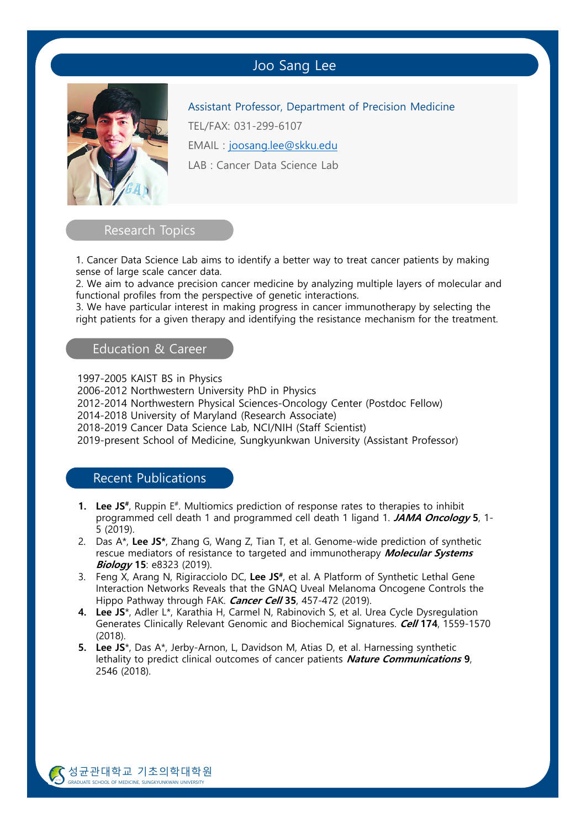## Joo Sang Lee



Assistant Professor, Department of Precision Medicine TEL/FAX: 031-299-6107 EMAIL : joosang.lee@skku.edu LAB : Cancer Data Science Lab

Research Topics

1. Cancer Data Science Lab aims to identify a better way to treat cancer patients by making sense of large scale cancer data.

2. We aim to advance precision cancer medicine by analyzing multiple layers of molecular and functional profiles from the perspective of genetic interactions.

3. We have particular interest in making progress in cancer immunotherapy by selecting the right patients for a given therapy and identifying the resistance mechanism for the treatment.

### Education & Career

1997-2005 KAIST BS in Physics

2006-2012 Northwestern University PhD in Physics

2012-2014 Northwestern Physical Sciences-Oncology Center (Postdoc Fellow)

2014-2018 University of Maryland (Research Associate)

2018-2019 Cancer Data Science Lab, NCI/NIH (Staff Scientist)

2019-present School of Medicine, Sungkyunkwan University (Assistant Professor)

### Recent Publications

- **1.** Lee JS<sup>#</sup>, Ruppin E<sup>#</sup>. Multiomics prediction of response rates to therapies to inhibit programmed cell death 1 and programmed cell death 1 ligand 1. **JAMA Oncology 5**, 1- 5 (2019).
- 2. Das A\*, **Lee JS\***, Zhang G, Wang Z, Tian T, et al. Genome-wide prediction of synthetic rescue mediators of resistance to targeted and immunotherapy **Molecular Systems Biology 15**: e8323 (2019).
- 3. Feng X, Arang N, Rigiracciolo DC, **Lee JS#**, et al. A Platform of Synthetic Lethal Gene Interaction Networks Reveals that the GNAQ Uveal Melanoma Oncogene Controls the Hippo Pathway through FAK. **Cancer Cell 35**, 457-472 (2019).
- **4. Lee JS**\*, Adler L\*, Karathia H, Carmel N, Rabinovich S, et al. Urea Cycle Dysregulation Generates Clinically Relevant Genomic and Biochemical Signatures. **Cell 174**, 1559-1570 (2018).
- **5. Lee JS**\*, Das A\*, Jerby-Arnon, L, Davidson M, Atias D, et al. Harnessing synthetic lethality to predict clinical outcomes of cancer patients **Nature Communications 9**, 2546 (2018).